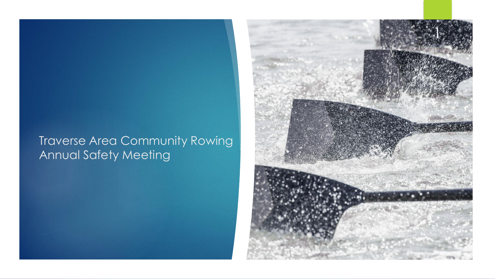## Traverse Area Community Rowing Annual Safety Meeting

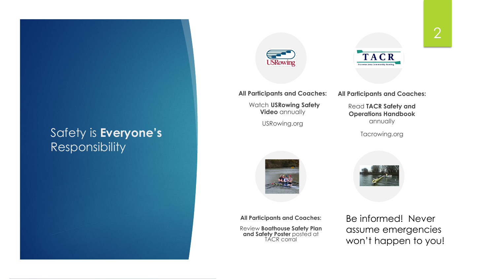#### Safety is **Everyone's** Responsibility



**All Participants and Coaches:**

Watch **USRowing Safety Video** annually

USRowing.org



**All Participants and Coaches:**

Read **TACR Safety and Operations Handbook**  annually

Tacrowing.org



**All Participants and Coaches:**

Review **Boathouse Safety Plan and Safety Poster** posted at TÁCR corral

Be informed! Never assume emergencies won't happen to you!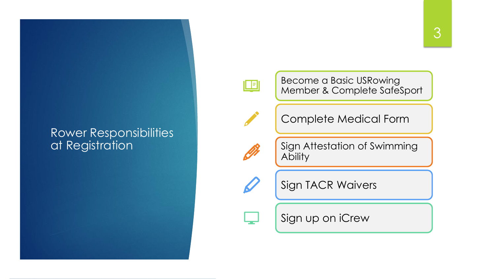#### Rower Responsibilities at Registration



Become a Basic USRowing Member & Complete SafeSport



Complete Medical Form



Sign Attestation of Swimming **Ability** 



Sign TACR Waivers

Sign up on iCrew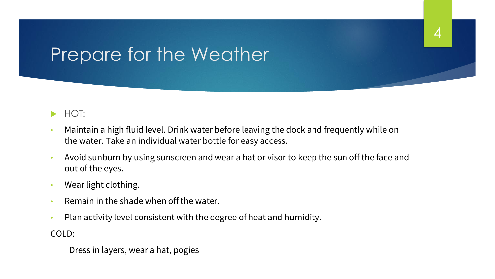## Prepare for the Weather

#### $\blacktriangleright$  HOT:

• Maintain a high fluid level. Drink water before leaving the dock and frequently while on the water. Take an individual water bottle for easy access.

4

- Avoid sunburn by using sunscreen and wear a hat or visor to keep the sun off the face and out of the eyes.
- Wear light clothing.
- Remain in the shade when off the water.
- Plan activity level consistent with the degree of heat and humidity.

COLD:

Dress in layers, wear a hat, pogies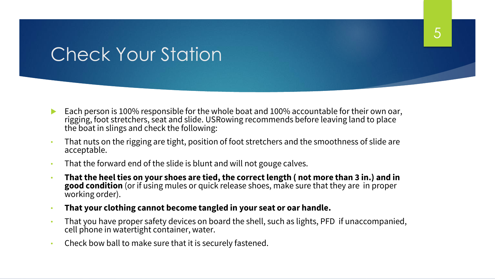## Check Your Station

- Each person is 100% responsible for the whole boat and 100% accountable for their own oar, rigging, foot stretchers, seat and slide. USRowing recommends before leaving land to place the boat in slings and check the following:
- That nuts on the rigging are tight, position of foot stretchers and the smoothness of slide are acceptable.
- That the forward end of the slide is blunt and will not gouge calves.
- **That the heel ties on your shoes are tied, the correct length ( not more than 3 in.) and in good condition** (or if using mules or quick release shoes, make sure that they are in proper working order).
- **That your clothing cannot become tangled in your seat or oar handle.**
- That you have proper safety devices on board the shell, such as lights, PFD if unaccompanied, cell phone in watertight container, water.
- Check bow ball to make sure that it is securely fastened.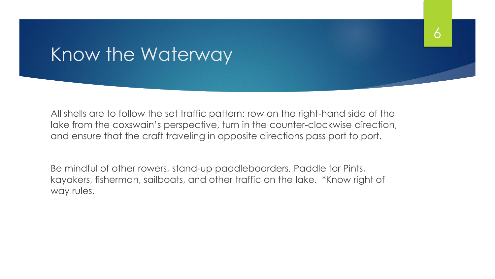## Know the Waterway

All shells are to follow the set traffic pattern: row on the right-hand side of the lake from the coxswain's perspective, turn in the counter-clockwise direction, and ensure that the craft traveling in opposite directions pass port to port.

6

Be mindful of other rowers, stand-up paddleboarders, Paddle for Pints, kayakers, fisherman, sailboats, and other traffic on the lake. \*Know right of way rules.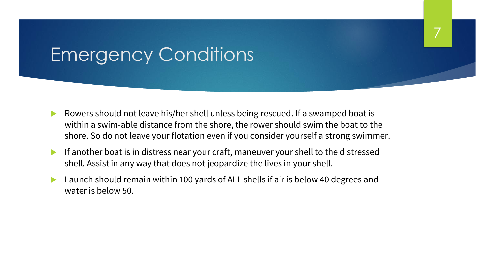## Emergency Conditions

▶ Rowers should not leave his/her shell unless being rescued. If a swamped boat is within a swim-able distance from the shore, the rower should swim the boat to the shore. So do not leave your flotation even if you consider yourself a strong swimmer. 7

- If another boat is in distress near your craft, maneuver your shell to the distressed shell. Assist in any way that does not jeopardize the lives in your shell.
- Launch should remain within 100 yards of ALL shells if air is below 40 degrees and water is below 50.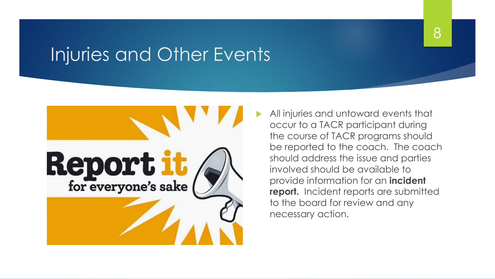## Injuries and Other Events



 All injuries and untoward events that occur to a TACR participant during the course of TACR programs should be reported to the coach. The coach should address the issue and parties involved should be available to provide information for an **incident report.** Incident reports are submitted to the board for review and any necessary action.

8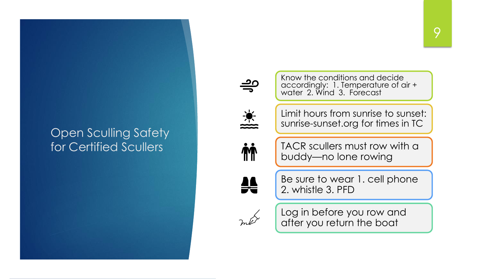### Open Sculling Safety for Certified Scullers





Know the conditions and decide accordingly: 1. Temperature of air + water 2. Wind 3. Forecast

Limit hours from sunrise to sunset: sunrise-sunset.org for times in TC

**M** 

TACR scullers must row with a buddy—no lone rowing

₩

Be sure to wear 1. cell phone 2. whistle 3. PFD



Log in before you row and after you return the boat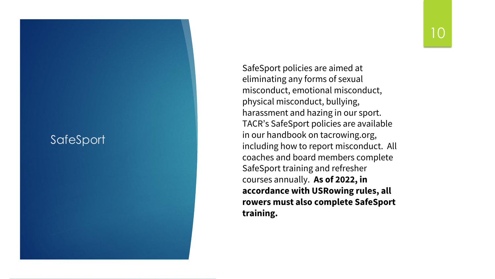#### **SafeSport**

SafeSport policies are aimed at eliminating any forms of sexual misconduct, emotional misconduct, physical misconduct, bullying, harassment and hazing in our sport. TACR's SafeSport policies are available in our handbook on tacrowing.org, including how to report misconduct. All coaches and board members complete SafeSport training and refresher courses annually. **As of 2022, in accordance with USRowing rules, all rowers must also complete SafeSport training.**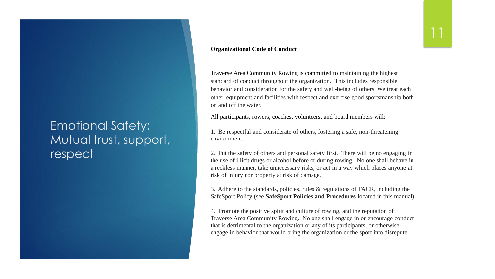## Emotional Safety: Mutual trust, support, respect

#### **Organizational Code of Conduct**

Traverse Area Community Rowing is committed to maintaining the highest standard of conduct throughout the organization. This includes responsible behavior and consideration for the safety and well-being of others. We treat each other, equipment and facilities with respect and exercise good sportsmanship both on and off the water.

All participants, rowers, coaches, volunteers, and board members will:

1. Be respectful and considerate of others, fostering a safe, non-threatening environment.

2. Put the safety of others and personal safety first. There will be no engaging in the use of illicit drugs or alcohol before or during rowing. No one shall behave in a reckless manner, take unnecessary risks, or act in a way which places anyone at risk of injury nor property at risk of damage.

3. Adhere to the standards, policies, rules & regulations of TACR, including the SafeSport Policy (see **SafeSport Policies and Procedures** located in this manual).

4. Promote the positive spirit and culture of rowing, and the reputation of Traverse Area Community Rowing. No one shall engage in or encourage conduct that is detrimental to the organization or any of its participants, or otherwise engage in behavior that would bring the organization or the sport into disrepute.